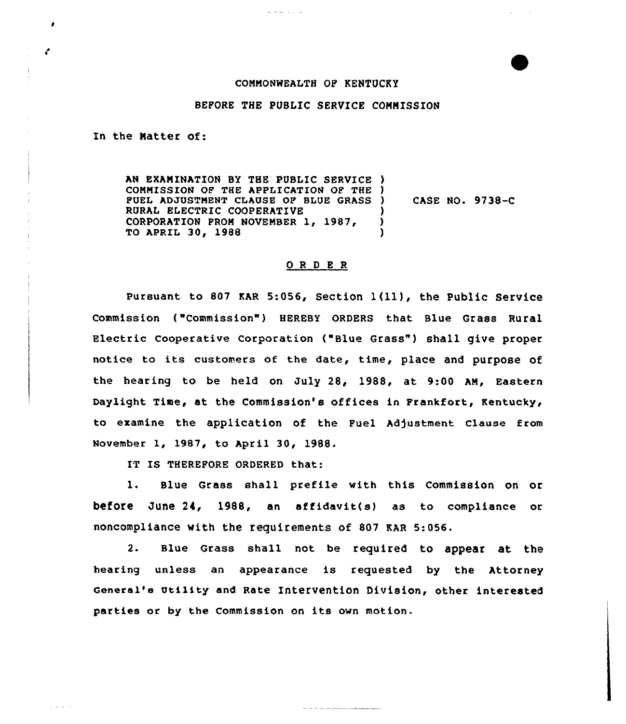## COMMONWEALTH OF KENTUCKY

## BEPORE THE PUBLIC SERVICE COMMISSION

In the Natter of:

÷.

and and

AN EXAMINATION BY THE PUBLIC SERVICE ) COMMISSION OF THE APPLICATION OF THE ) FUEL ADJUSTMENT CLAUSE OF BLUE GRASS ) RURAL ELECTRIC COOPERATIVE CORPORATION PROM NOVEMBER 1, 1987, TO APRIL 30, 1988 ) CASE NO <sup>~</sup> 9738-C ) )

## ORDER

pursuant to <sup>807</sup> KAR 5:056, Section <sup>1</sup> (ll ), the Public Service Commission ("Commission"} HEREBY ORDERS that Blue Grass Rural Electric Cooperative Corporation ("Blue Grass") shall give proper notice to its customers of the date, time, place and purpose of the hearing to be held on July 28, 1988, at 9:00 AM, Eastern Daylight Time, at the Commission's offices in Frankfort, Kentucky, to examine the application of the Fuel hd)ustment Clause from November 1, 1987, to April 30, 1988.

IT IS THEREFORE ORDERED that:

l. Blue Grass shall prefile with this Commission on or before June 24, 1988, an affidavit(s) as to compliance or noncompliance with the requirements of 807 KAR 5:056.

2. Blue Grass shall not be required to appear at the hearing unless an appearance is requested by the Attorney General's Utility and Rate Intervention Division, other interested parties or by the Commission on its own motion.